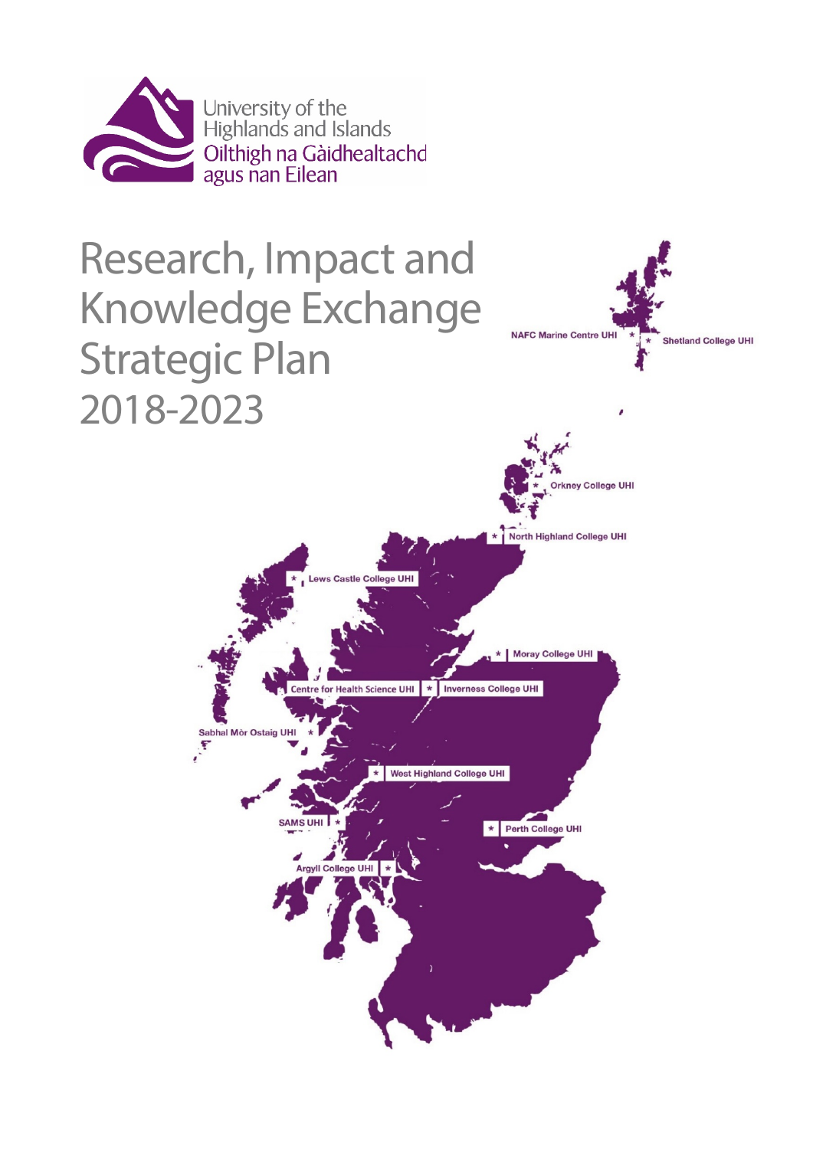

# Research, Impact and Knowledge Exchange Strategic Plan 2018-2023



**NAFC Marine Centre UHI** 

**Shetland College UHI**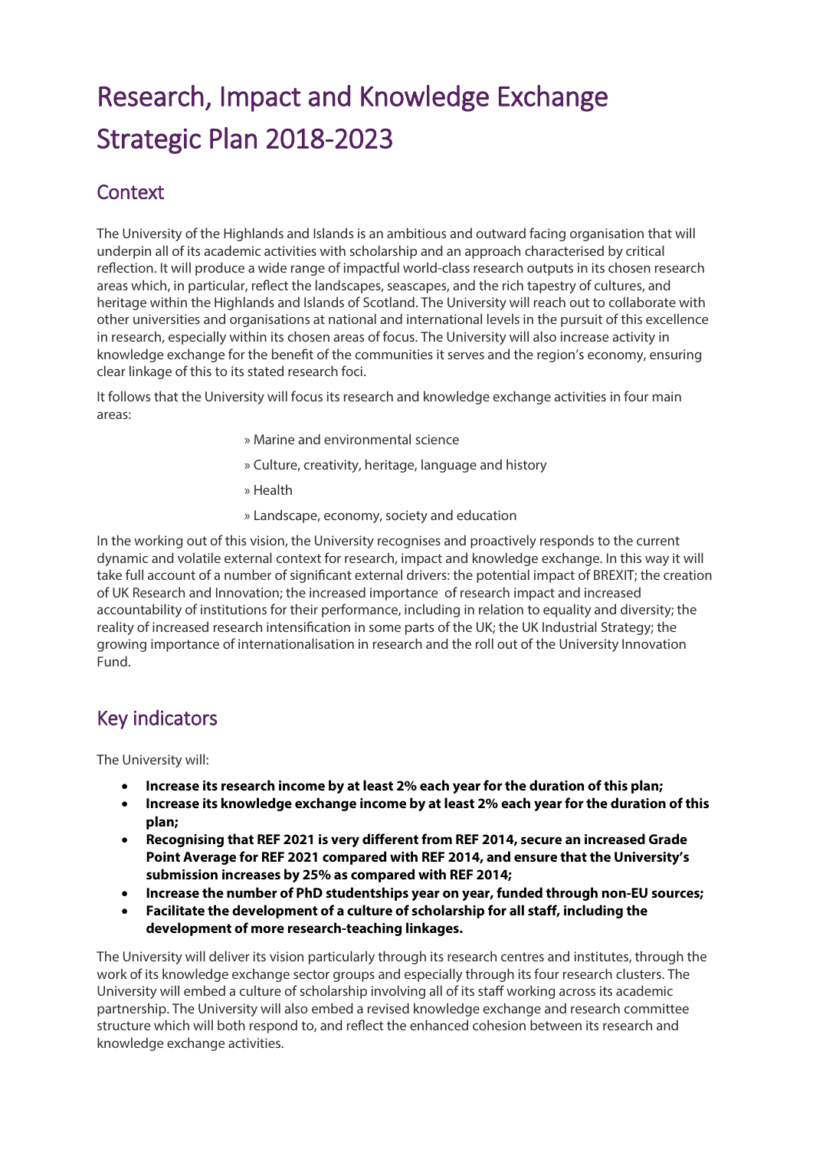# Research, Impact and Knowledge Exchange Strategic Plan 2018-2023

## **Context**

The University of the Highlands and Islands is an ambitious and outward facing organisation that will underpin all of its academic activities with scholarship and an approach characterised by critical reflection. It will produce a wide range of impactful world-class research outputs in its chosen research areas which, in particular, reflect the landscapes, seascapes, and the rich tapestry of cultures, and heritage within the Highlands and Islands of Scotland. The University will reach out to collaborate with other universities and organisations at national and international levels in the pursuit of this excellence in research, especially within its chosen areas of focus. The University will also increase activity in knowledge exchange for the benefit of the communities it serves and the region's economy, ensuring clear linkage of this to its stated research foci.

It follows that the University will focus its research and knowledge exchange activities in four main areas:

- » Marine and environmental science
- » Culture, creativity, heritage, language and history
- » Health
- » Landscape, economy, society and education

In the working out of this vision, the University recognises and proactively responds to the current dynamic and volatile external context for research, impact and knowledge exchange. In this way it will take full account of a number of significant external drivers: the potential impact of BREXIT; the creation of UK Research and Innovation; the increased importance of research impact and increased accountability of institutions for their performance, including in relation to equality and diversity; the reality of increased research intensification in some parts of the UK; the UK Industrial Strategy; the growing importance of internationalisation in research and the roll out of the University Innovation Fund.

## Key indicators

The University will:

- **Increase its research income by at least 2% each year for the duration of this plan;**
- **Increase its knowledge exchange income by at least 2% each year for the duration of this plan;**
- **Recognising that REF 2021 is very different from REF 2014, secure an increased Grade Point Average for REF 2021 compared with REF 2014, and ensure that the University's submission increases by 25% as compared with REF 2014;**
- **Increase the number of PhD studentships year on year, funded through non-EU sources;**
- **Facilitate the development of a culture of scholarship for all staff, including the development of more research-teaching linkages.**

The University will deliver its vision particularly through its research centres and institutes, through the work of its knowledge exchange sector groups and especially through its four research clusters. The University will embed a culture of scholarship involving all of its staff working across its academic partnership. The University will also embed a revised knowledge exchange and research committee structure which will both respond to, and reflect the enhanced cohesion between its research and knowledge exchange activities.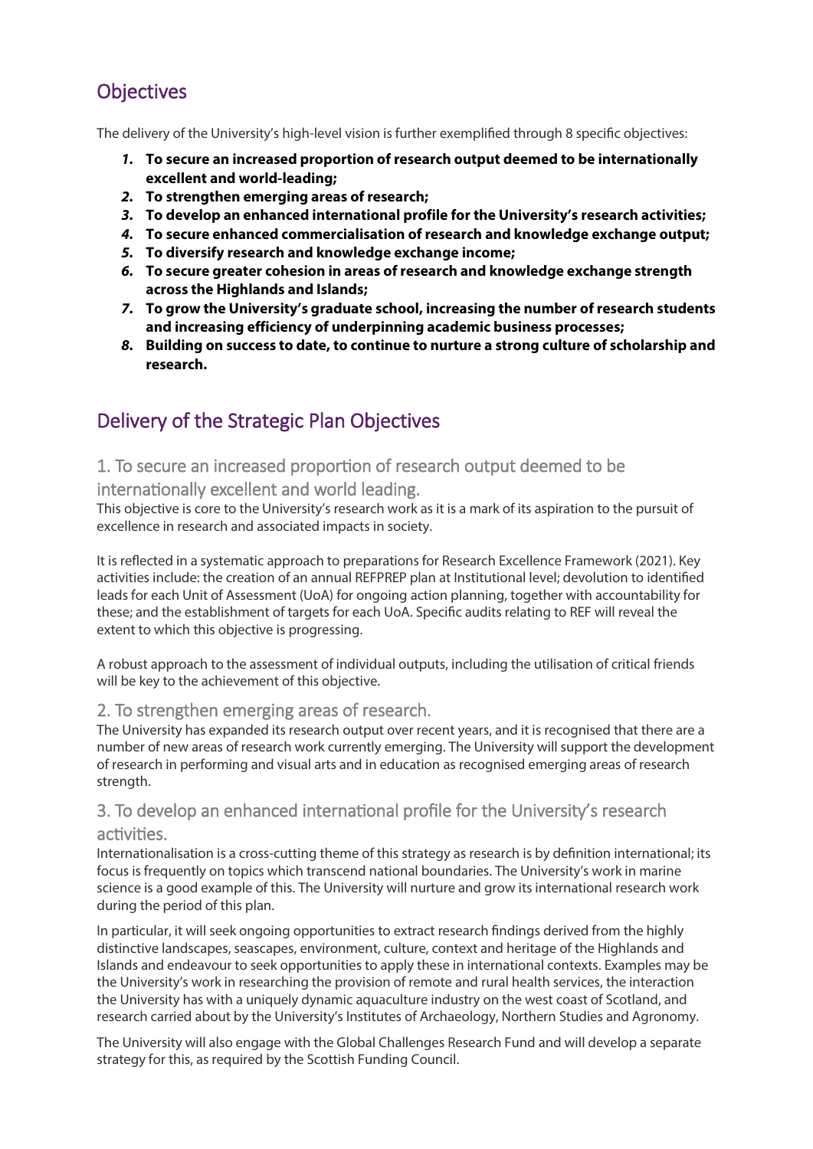# **Objectives**

The delivery of the University's high-level vision is further exemplified through 8 specific objectives:

- *1.* **To secure an increased proportion of research output deemed to be internationally excellent and world-leading;**
- *2.* **To strengthen emerging areas of research;**
- *3.* **To develop an enhanced international profile for the University's research activities;**
- *4.* **To secure enhanced commercialisation of research and knowledge exchange output;**
- *5.* **To diversify research and knowledge exchange income;**
- *6.* **To secure greater cohesion in areas of research and knowledge exchange strength across the Highlands and Islands;**
- *7.* **To grow the University's graduate school, increasing the number of research students and increasing efficiency of underpinning academic business processes;**
- *8.* **Building on success to date, to continue to nurture a strong culture of scholarship and research.**

# Delivery of the Strategic Plan Objectives

#### 1. To secure an increased proportion of research output deemed to be

internationally excellent and world leading.

This objective is core to the University's research work as it is a mark of its aspiration to the pursuit of excellence in research and associated impacts in society.

It is reflected in a systematic approach to preparations for Research Excellence Framework (2021). Key activities include: the creation of an annual REFPREP plan at Institutional level; devolution to identified leads for each Unit of Assessment (UoA) for ongoing action planning, together with accountability for these; and the establishment of targets for each UoA. Specific audits relating to REF will reveal the extent to which this objective is progressing.

A robust approach to the assessment of individual outputs, including the utilisation of critical friends will be key to the achievement of this objective.

#### 2. To strengthen emerging areas of research.

The University has expanded its research output over recent years, and it is recognised that there are a number of new areas of research work currently emerging. The University will support the development of research in performing and visual arts and in education as recognised emerging areas of research strength.

#### 3. To develop an enhanced international profile for the University's research activities.

Internationalisation is a cross-cutting theme of this strategy as research is by definition international; its focus is frequently on topics which transcend national boundaries. The University's work in marine science is a good example of this. The University will nurture and grow its international research work during the period of this plan.

In particular, it will seek ongoing opportunities to extract research findings derived from the highly distinctive landscapes, seascapes, environment, culture, context and heritage of the Highlands and Islands and endeavour to seek opportunities to apply these in international contexts. Examples may be the University's work in researching the provision of remote and rural health services, the interaction the University has with a uniquely dynamic aquaculture industry on the west coast of Scotland, and research carried about by the University's Institutes of Archaeology, Northern Studies and Agronomy.

The University will also engage with the Global Challenges Research Fund and will develop a separate strategy for this, as required by the Scottish Funding Council.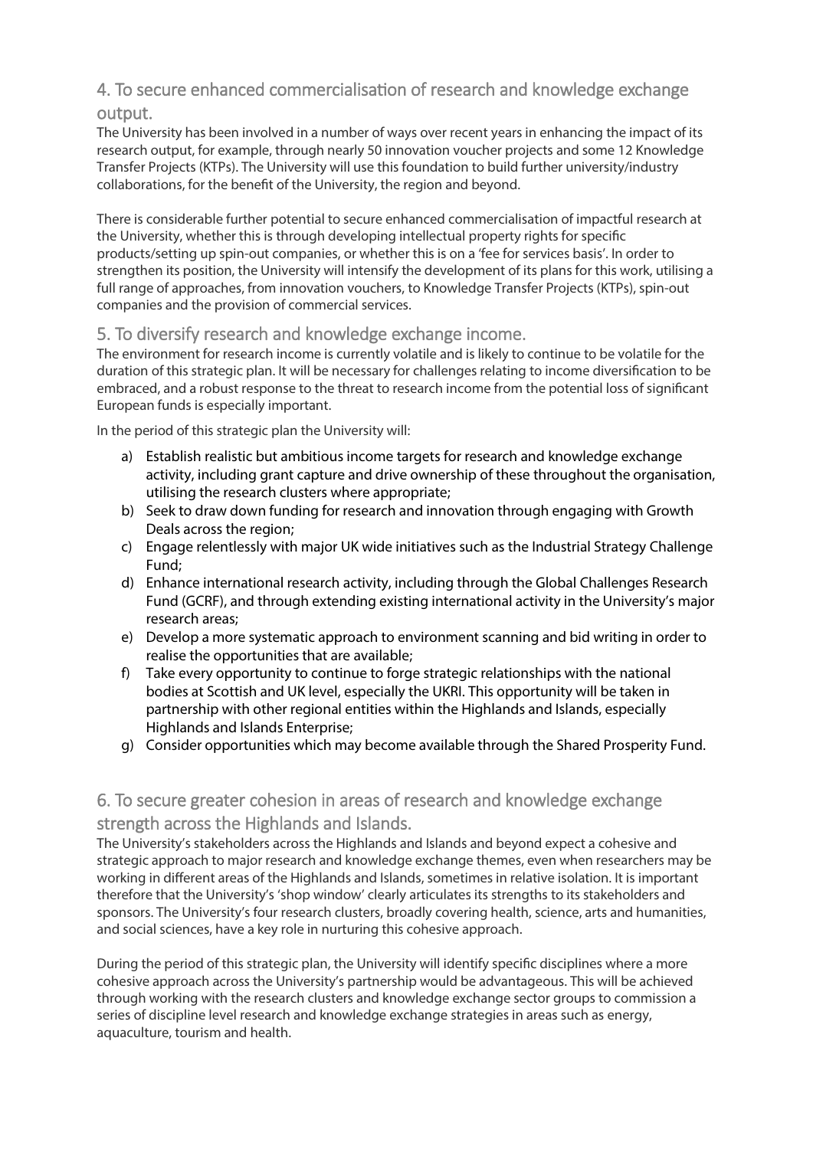#### 4. To secure enhanced commercialisation of research and knowledge exchange output.

The University has been involved in a number of ways over recent years in enhancing the impact of its research output, for example, through nearly 50 innovation voucher projects and some 12 Knowledge Transfer Projects (KTPs). The University will use this foundation to build further university/industry collaborations, for the benefit of the University, the region and beyond.

There is considerable further potential to secure enhanced commercialisation of impactful research at the University, whether this is through developing intellectual property rights for specific products/setting up spin-out companies, or whether this is on a 'fee for services basis'. In order to strengthen its position, the University will intensify the development of its plans for this work, utilising a full range of approaches, from innovation vouchers, to Knowledge Transfer Projects (KTPs), spin-out companies and the provision of commercial services.

#### 5. To diversify research and knowledge exchange income.

The environment for research income is currently volatile and is likely to continue to be volatile for the duration of this strategic plan. It will be necessary for challenges relating to income diversification to be embraced, and a robust response to the threat to research income from the potential loss of significant European funds is especially important.

In the period of this strategic plan the University will:

- a) Establish realistic but ambitious income targets for research and knowledge exchange activity, including grant capture and drive ownership of these throughout the organisation, utilising the research clusters where appropriate;
- b) Seek to draw down funding for research and innovation through engaging with Growth Deals across the region;
- c) Engage relentlessly with major UK wide initiatives such as the Industrial Strategy Challenge Fund;
- d) Enhance international research activity, including through the Global Challenges Research Fund (GCRF), and through extending existing international activity in the University's major research areas;
- e) Develop a more systematic approach to environment scanning and bid writing in order to realise the opportunities that are available;
- f) Take every opportunity to continue to forge strategic relationships with the national bodies at Scottish and UK level, especially the UKRI. This opportunity will be taken in partnership with other regional entities within the Highlands and Islands, especially Highlands and Islands Enterprise;
- g) Consider opportunities which may become available through the Shared Prosperity Fund.

#### 6. To secure greater cohesion in areas of research and knowledge exchange strength across the Highlands and Islands.

The University's stakeholders across the Highlands and Islands and beyond expect a cohesive and strategic approach to major research and knowledge exchange themes, even when researchers may be working in different areas of the Highlands and Islands, sometimes in relative isolation. It is important therefore that the University's 'shop window' clearly articulates its strengths to its stakeholders and sponsors. The University's four research clusters, broadly covering health, science, arts and humanities, and social sciences, have a key role in nurturing this cohesive approach.

During the period of this strategic plan, the University will identify specific disciplines where a more cohesive approach across the University's partnership would be advantageous. This will be achieved through working with the research clusters and knowledge exchange sector groups to commission a series of discipline level research and knowledge exchange strategies in areas such as energy, aquaculture, tourism and health.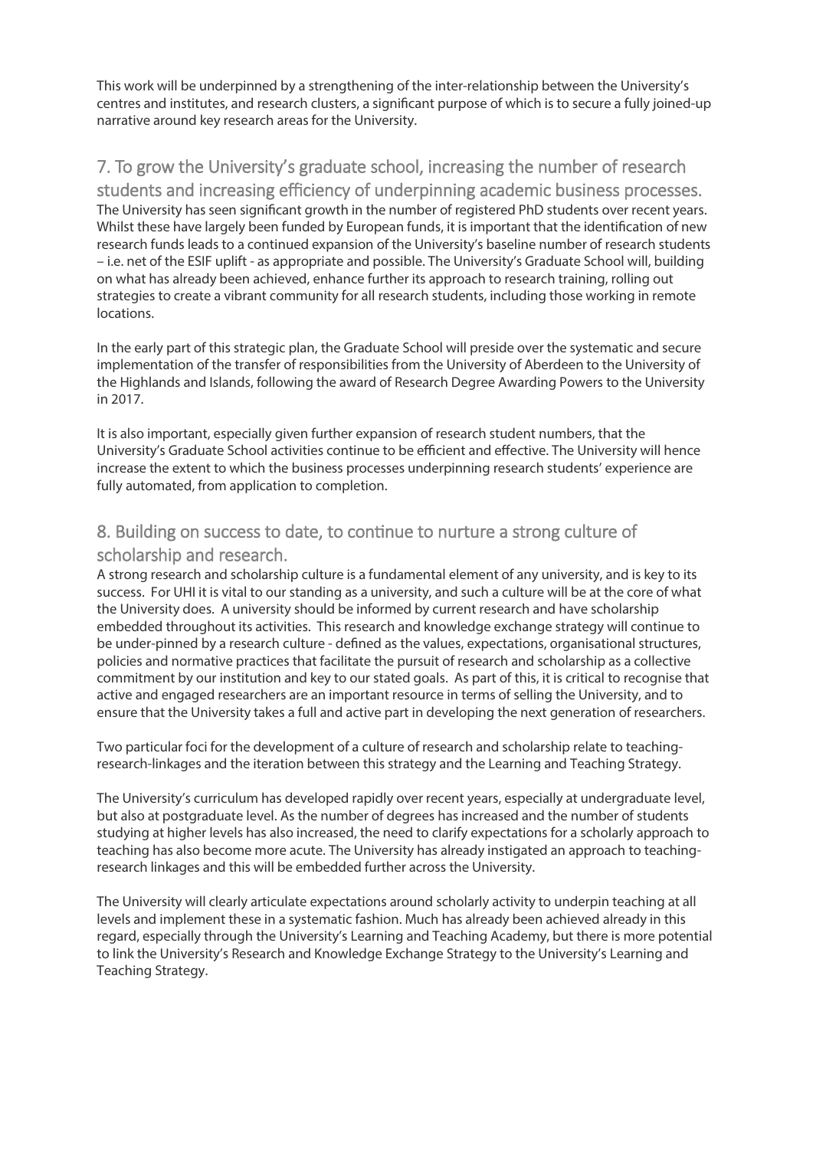This work will be underpinned by a strengthening of the inter-relationship between the University's centres and institutes, and research clusters, a significant purpose of which is to secure a fully joined-up narrative around key research areas for the University.

#### 7. To grow the University's graduate school, increasing the number of research

students and increasing efficiency of underpinning academic business processes. The University has seen significant growth in the number of registered PhD students over recent years. Whilst these have largely been funded by European funds, it is important that the identification of new research funds leads to a continued expansion of the University's baseline number of research students – i.e. net of the ESIF uplift - as appropriate and possible. The University's Graduate School will, building on what has already been achieved, enhance further its approach to research training, rolling out strategies to create a vibrant community for all research students, including those working in remote locations.

In the early part of this strategic plan, the Graduate School will preside over the systematic and secure implementation of the transfer of responsibilities from the University of Aberdeen to the University of the Highlands and Islands, following the award of Research Degree Awarding Powers to the University in 2017.

It is also important, especially given further expansion of research student numbers, that the University's Graduate School activities continue to be efficient and effective. The University will hence increase the extent to which the business processes underpinning research students' experience are fully automated, from application to completion.

#### 8. Building on success to date, to continue to nurture a strong culture of scholarship and research.

A strong research and scholarship culture is a fundamental element of any university, and is key to its success. For UHI it is vital to our standing as a university, and such a culture will be at the core of what the University does. A university should be informed by current research and have scholarship embedded throughout its activities. This research and knowledge exchange strategy will continue to be under-pinned by a research culture - defined as the values, expectations, organisational structures, policies and normative practices that facilitate the pursuit of research and scholarship as a collective commitment by our institution and key to our stated goals. As part of this, it is critical to recognise that active and engaged researchers are an important resource in terms of selling the University, and to ensure that the University takes a full and active part in developing the next generation of researchers.

Two particular foci for the development of a culture of research and scholarship relate to teachingresearch-linkages and the iteration between this strategy and the Learning and Teaching Strategy.

The University's curriculum has developed rapidly over recent years, especially at undergraduate level, but also at postgraduate level. As the number of degrees has increased and the number of students studying at higher levels has also increased, the need to clarify expectations for a scholarly approach to teaching has also become more acute. The University has already instigated an approach to teachingresearch linkages and this will be embedded further across the University.

The University will clearly articulate expectations around scholarly activity to underpin teaching at all levels and implement these in a systematic fashion. Much has already been achieved already in this regard, especially through the University's Learning and Teaching Academy, but there is more potential to link the University's Research and Knowledge Exchange Strategy to the University's Learning and Teaching Strategy.